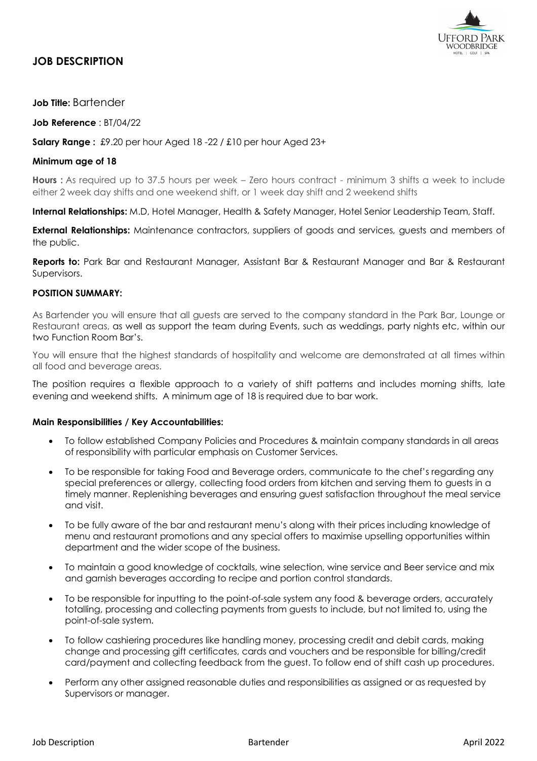

# **JOB DESCRIPTION**

## **Job Title:** Bartender

**Job Reference** : BT/04/22

**Salary Range :** £9.20 per hour Aged 18 -22 / £10 per hour Aged 23+

### **Minimum age of 18**

**Hours :** As required up to 37.5 hours per week – Zero hours contract - minimum 3 shifts a week to include either 2 week day shifts and one weekend shift, or 1 week day shift and 2 weekend shifts

**Internal Relationships:** M.D, Hotel Manager, Health & Safety Manager, Hotel Senior Leadership Team, Staff.

**External Relationships:** Maintenance contractors, suppliers of goods and services, guests and members of the public.

**Reports to:** Park Bar and Restaurant Manager, Assistant Bar & Restaurant Manager and Bar & Restaurant Supervisors.

## **POSITION SUMMARY:**

As Bartender you will ensure that all guests are served to the company standard in the Park Bar, Lounge or Restaurant areas, as well as support the team during Events, such as weddings, party nights etc, within our two Function Room Bar's.

You will ensure that the highest standards of hospitality and welcome are demonstrated at all times within all food and beverage areas.

The position requires a flexible approach to a variety of shift patterns and includes morning shifts, late evening and weekend shifts. A minimum age of 18 is required due to bar work.

#### **Main Responsibilities / Key Accountabilities:**

- To follow established Company Policies and Procedures & maintain company standards in all areas of responsibility with particular emphasis on Customer Services.
- To be responsible for taking Food and Beverage orders, communicate to the chef's regarding any special preferences or allergy, collecting food orders from kitchen and serving them to guests in a timely manner. Replenishing beverages and ensuring guest satisfaction throughout the meal service and visit.
- To be fully aware of the bar and restaurant menu's along with their prices including knowledge of menu and restaurant promotions and any special offers to maximise upselling opportunities within department and the wider scope of the business.
- To maintain a good knowledge of cocktails, wine selection, wine service and Beer service and mix and garnish beverages according to recipe and portion control standards.
- To be responsible for inputting to the point-of-sale system any food & beverage orders, accurately totalling, processing and collecting payments from guests to include, but not limited to, using the point-of-sale system.
- To follow cashiering procedures like handling money, processing credit and debit cards, making change and processing gift certificates, cards and vouchers and be responsible for billing/credit card/payment and collecting feedback from the guest. To follow end of shift cash up procedures.
- Perform any other assigned reasonable duties and responsibilities as assigned or as requested by Supervisors or manager.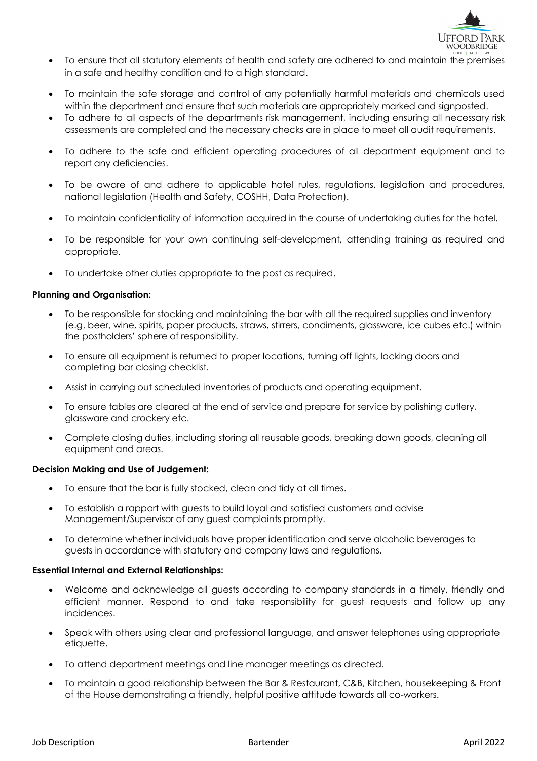

- To ensure that all statutory elements of health and safety are adhered to and maintain the premises in a safe and healthy condition and to a high standard.
- To maintain the safe storage and control of any potentially harmful materials and chemicals used within the department and ensure that such materials are appropriately marked and signposted.
- To adhere to all aspects of the departments risk management, including ensuring all necessary risk assessments are completed and the necessary checks are in place to meet all audit requirements.
- To adhere to the safe and efficient operating procedures of all department equipment and to report any deficiencies.
- To be aware of and adhere to applicable hotel rules, regulations, legislation and procedures, national legislation (Health and Safety, COSHH, Data Protection).
- To maintain confidentiality of information acquired in the course of undertaking duties for the hotel.
- To be responsible for your own continuing self-development, attending training as required and appropriate.
- To undertake other duties appropriate to the post as required.

## **Planning and Organisation:**

- To be responsible for stocking and maintaining the bar with all the required supplies and inventory (e.g. beer, wine, spirits, paper products, straws, stirrers, condiments, glassware, ice cubes etc.) within the postholders' sphere of responsibility.
- To ensure all equipment is returned to proper locations, turning off lights, locking doors and completing bar closing checklist.
- Assist in carrying out scheduled inventories of products and operating equipment.
- To ensure tables are cleared at the end of service and prepare for service by polishing cutlery, glassware and crockery etc.
- Complete closing duties, including storing all reusable goods, breaking down goods, cleaning all equipment and areas.

## **Decision Making and Use of Judgement:**

- To ensure that the bar is fully stocked, clean and tidy at all times.
- To establish a rapport with guests to build loyal and satisfied customers and advise Management/Supervisor of any guest complaints promptly.
- To determine whether individuals have proper identification and serve alcoholic beverages to guests in accordance with statutory and company laws and regulations.

## **Essential Internal and External Relationships:**

- Welcome and acknowledge all guests according to company standards in a timely, friendly and efficient manner. Respond to and take responsibility for guest requests and follow up any incidences.
- Speak with others using clear and professional language, and answer telephones using appropriate etiquette.
- To attend department meetings and line manager meetings as directed.
- To maintain a good relationship between the Bar & Restaurant, C&B, Kitchen, housekeeping & Front of the House demonstrating a friendly, helpful positive attitude towards all co-workers.